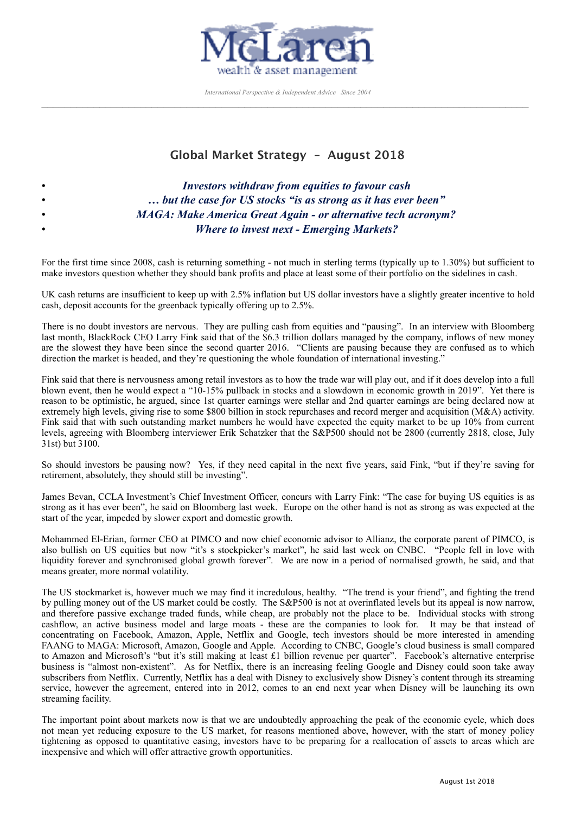

*International Perspective & Independent Advice Since 2004*  $\mathcal{L}_\mathcal{L} = \{ \mathcal{L}_\mathcal{L} = \{ \mathcal{L}_\mathcal{L} = \{ \mathcal{L}_\mathcal{L} = \{ \mathcal{L}_\mathcal{L} = \{ \mathcal{L}_\mathcal{L} = \{ \mathcal{L}_\mathcal{L} = \{ \mathcal{L}_\mathcal{L} = \{ \mathcal{L}_\mathcal{L} = \{ \mathcal{L}_\mathcal{L} = \{ \mathcal{L}_\mathcal{L} = \{ \mathcal{L}_\mathcal{L} = \{ \mathcal{L}_\mathcal{L} = \{ \mathcal{L}_\mathcal{L} = \{ \mathcal{L}_\mathcal{$ 

# **Global Market Strategy – August 2018**

| $\bullet$ | Investors withdraw from equities to favour cash                      |
|-----------|----------------------------------------------------------------------|
| $\bullet$ | but the case for US stocks "is as strong as it has ever been"        |
| $\bullet$ | <b>MAGA: Make America Great Again - or alternative tech acronym?</b> |
| $\bullet$ | <b>Where to invest next - Emerging Markets?</b>                      |

For the first time since 2008, cash is returning something - not much in sterling terms (typically up to 1.30%) but sufficient to make investors question whether they should bank profits and place at least some of their portfolio on the sidelines in cash.

UK cash returns are insufficient to keep up with 2.5% inflation but US dollar investors have a slightly greater incentive to hold cash, deposit accounts for the greenback typically offering up to 2.5%.

There is no doubt investors are nervous. They are pulling cash from equities and "pausing". In an interview with Bloomberg last month, BlackRock CEO Larry Fink said that of the \$6.3 trillion dollars managed by the company, inflows of new money are the slowest they have been since the second quarter 2016. "Clients are pausing because they are confused as to which direction the market is headed, and they're questioning the whole foundation of international investing."

Fink said that there is nervousness among retail investors as to how the trade war will play out, and if it does develop into a full blown event, then he would expect a "10-15% pullback in stocks and a slowdown in economic growth in 2019". Yet there is reason to be optimistic, he argued, since 1st quarter earnings were stellar and 2nd quarter earnings are being declared now at extremely high levels, giving rise to some \$800 billion in stock repurchases and record merger and acquisition (M&A) activity. Fink said that with such outstanding market numbers he would have expected the equity market to be up 10% from current levels, agreeing with Bloomberg interviewer Erik Schatzker that the S&P500 should not be 2800 (currently 2818, close, July 31st) but 3100.

So should investors be pausing now? Yes, if they need capital in the next five years, said Fink, "but if they're saving for retirement, absolutely, they should still be investing".

James Bevan, CCLA Investment's Chief Investment Officer, concurs with Larry Fink: "The case for buying US equities is as strong as it has ever been", he said on Bloomberg last week. Europe on the other hand is not as strong as was expected at the start of the year, impeded by slower export and domestic growth.

Mohammed El-Erian, former CEO at PIMCO and now chief economic advisor to Allianz, the corporate parent of PIMCO, is also bullish on US equities but now "it's s stockpicker's market", he said last week on CNBC. "People fell in love with liquidity forever and synchronised global growth forever". We are now in a period of normalised growth, he said, and that means greater, more normal volatility.

The US stockmarket is, however much we may find it incredulous, healthy. "The trend is your friend", and fighting the trend by pulling money out of the US market could be costly. The S&P500 is not at overinflated levels but its appeal is now narrow, and therefore passive exchange traded funds, while cheap, are probably not the place to be. Individual stocks with strong cashflow, an active business model and large moats - these are the companies to look for. It may be that instead of concentrating on Facebook, Amazon, Apple, Netflix and Google, tech investors should be more interested in amending FAANG to MAGA: Microsoft, Amazon, Google and Apple. According to CNBC, Google's cloud business is small compared to Amazon and Microsoft's "but it's still making at least £1 billion revenue per quarter". Facebook's alternative enterprise business is "almost non-existent". As for Netflix, there is an increasing feeling Google and Disney could soon take away subscribers from Netflix. Currently, Netflix has a deal with Disney to exclusively show Disney's content through its streaming service, however the agreement, entered into in 2012, comes to an end next year when Disney will be launching its own streaming facility.

The important point about markets now is that we are undoubtedly approaching the peak of the economic cycle, which does not mean yet reducing exposure to the US market, for reasons mentioned above, however, with the start of money policy tightening as opposed to quantitative easing, investors have to be preparing for a reallocation of assets to areas which are inexpensive and which will offer attractive growth opportunities.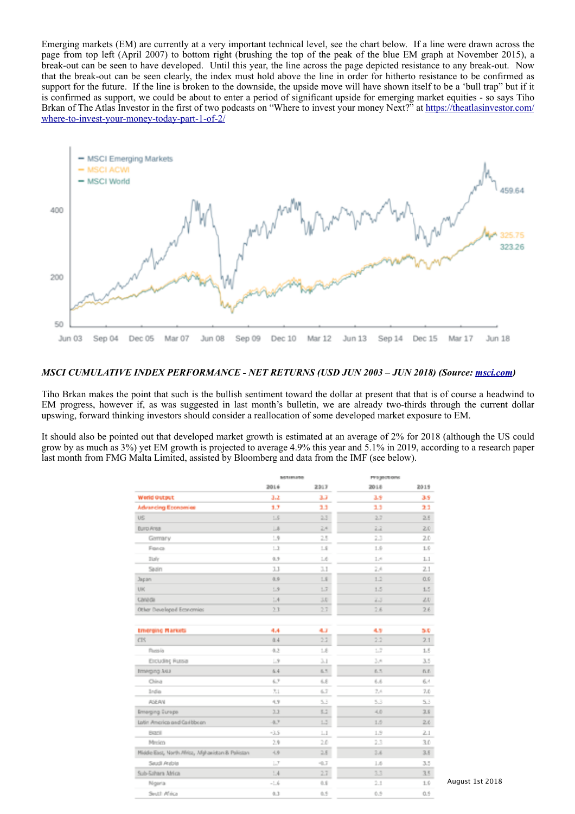Emerging markets (EM) are currently at a very important technical level, see the chart below. If a line were drawn across the page from top left (April 2007) to bottom right (brushing the top of the peak of the blue EM graph at November 2015), a break-out can be seen to have developed. Until this year, the line across the page depicted resistance to any break-out. Now that the break-out can be seen clearly, the index must hold above the line in order for hitherto resistance to be confirmed as support for the future. If the line is broken to the downside, the upside move will have shown itself to be a 'bull trap" but if it is confirmed as support, we could be about to enter a period of significant upside for emerging market equities - so says Tiho Brkan of The Atlas Investor in the first of two podcasts on "Where to invest your money Next?" at [https://theatlasinvestor.com/](https://theatlasinvestor.com/where-to-invest-your-money-today-part-1-of-2/) [where-to-invest-your-money-today-part-1-of-2/](https://theatlasinvestor.com/where-to-invest-your-money-today-part-1-of-2/)



### *MSCI CUMULATIVE INDEX PERFORMANCE - NET RETURNS (USD JUN 2003 – JUN 2018) (Source: [msci.com](http://msci.com))*

Tiho Brkan makes the point that such is the bullish sentiment toward the dollar at present that that is of course a headwind to EM progress, however if, as was suggested in last month's bulletin, we are already two-thirds through the current dollar upswing, forward thinking investors should consider a reallocation of some developed market exposure to EM.

It should also be pointed out that developed market growth is estimated at an average of 2% for 2018 (although the US could grow by as much as 3%) yet EM growth is projected to average 4.9% this year and 5.1% in 2019, according to a research paper last month from FMG Malta Limited, assisted by Bloomberg and data from the IMF (see below).

|                                                   | <b>METIMEZGO</b> |         | PPS geotions      |          |
|---------------------------------------------------|------------------|---------|-------------------|----------|
|                                                   | 2016             | 2317    | 2018              | 2015     |
| Werld Output                                      | 3.2              | 3,7     | 18                | 38       |
| <b>Advancing Economies</b>                        | 1.7              | 13      | 13                | 22       |
| US                                                | LS               | 2.3     | 2.7               | 2.5      |
| <b>Burg Area</b>                                  | $\Box$           | 2.4     | 22                | 2.0      |
| Germany                                           | $\mathbf{L}$     | 2.5     | 23                | 2.0      |
| Fonca                                             | $\perp$          | 1.8     | 1.9               | $1.6\,$  |
| <b>Italy</b>                                      | 0.5              | 1.6     | 1.4               | 1.1      |
| Saain                                             | 3.3              | 3.1     | 24                | 2.1      |
| Japan                                             | 0.5              | 1.8     | 1.2               | 0.s      |
| UK                                                | 1.9              | 1.7     | 1.5               | 1.5      |
| Canada                                            | 1.4              | 3.0     | 2.3               | 2.0      |
| Other Developed Economies                         | 23               | 2.7     | 2.6               | 26       |
| <b>Emerging Markets</b>                           | 4.4              | 4.7     | 4.9               | 5.0      |
| CIS                                               | 0.4              | 2.3     | 2.2               | 2.1      |
| Plucos Lo                                         | 4.2              | 1.8     | $L^{\frac{m}{2}}$ | 1.5      |
| <b>Excluding Russia</b>                           | $\Box$ 9         | 3.1     | 3.4               | 3.5      |
| <b>Immgreg Asia</b>                               | 6.4              | 6.5     | 6.5               | n.e.     |
| China                                             | 6.7              | 6.8     | 6.6               | 6.1      |
| India                                             | 7.1              | 6.7     | 7.4               | 7.0      |
| <b>AGEAN</b>                                      | 4.9              | 5.3     | 5.3               | 53       |
| Emerging Europe                                   | 22               | 5.2     | 4.0               | 2.8      |
| Latin America and Carl bbcan                      | 4.7              | 1.5     | 1.5               | 26       |
| <b>Bazil</b>                                      | $-3.5$           | 1.1     | 1.9               | $_{2.1}$ |
| Merico                                            | 2.9              | 2.0     | 23                | 3.0      |
| Middle East, North Africa, Afghanistan & Palistan | 4.8              | 2.8     | 2.6               | $3.5 -$  |
| Saudi Anbia                                       | $\Box$           | $-0.7$  | 1.6               | 3.5      |
| Sub-Sahara Africa                                 | 1.4              | $2.7 -$ | 3.3               | 35       |
| Ngeria                                            | $-1.6$           | 0.8     | $^{2.1}$          | 1.6      |
| Snuth Africa                                      | 4.3              | 0.5     | 0.9               | 0.5      |